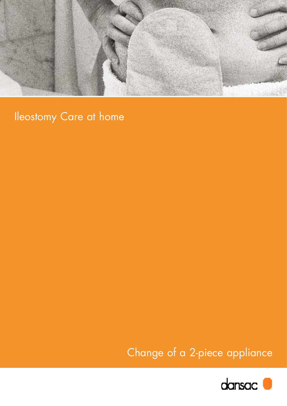

# Ileostomy Care at home

Change of a 2-piece appliance

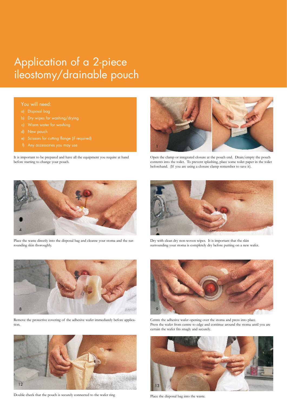## Application of a 2-piece ileostomy/drainable pouch

#### You will need:

- a) Disposal bag
- b) Dry wipes for washing/drying
- 
- 
- e) Scissors for cutting flange (if required)
- 

It is important to be prepared and have all the equipment you require at hand before starting to change your pouch.



Open the clamp or integrated closure at the pouch end. Drain/empty the pouch contents into the toilet. To prevent splashing, place some toilet paper in the toilet beforehand. (If you are using a closure clamp remember to save it).



Place the waste directly into the disposal bag and cleanse your stoma and the surrounding skin thoroughly.



Dry with clean dry non-woven wipes. It is important that the skin surrounding your stoma is completely dry before putting on a new wafer.



Remove the protective covering of the adhesive wafer immediately before application.



Double check that the pouch is securely connected to the wafer ring



Centre the adhesive wafer opening over the stoma and press into place. Press the wafer from centre to edge and continue around the stoma until you are certain the wafer fits snugly and securely.



Place the disposal bag into the waste.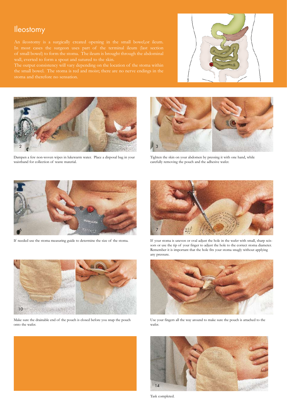## Ileostomy

stoma and therefore no sensation.





Dampen a few non-woven wipes in lukewarm water. Place a disposal bag in your waistband for collection of waste material.



Tighten the skin on your abdomen by pressing it with one hand, while carefully removing the pouch and the adhesive wafer.



If needed use the stoma measuring guide to determine the size of the stoma.



If your stoma is uneven or oval adjust the hole in the wafer with small, sharp scissors or use the tip of your finger to adjust the hole to the correct stoma diameter. Remember it is important that the hole fits your stoma snugly without applying any pressure.



Use your fingers all the way around to make sure the pouch is attached to the wafer.







Make sure the drainable end of the pouch is closed before you snap the pouch onto the wafer.